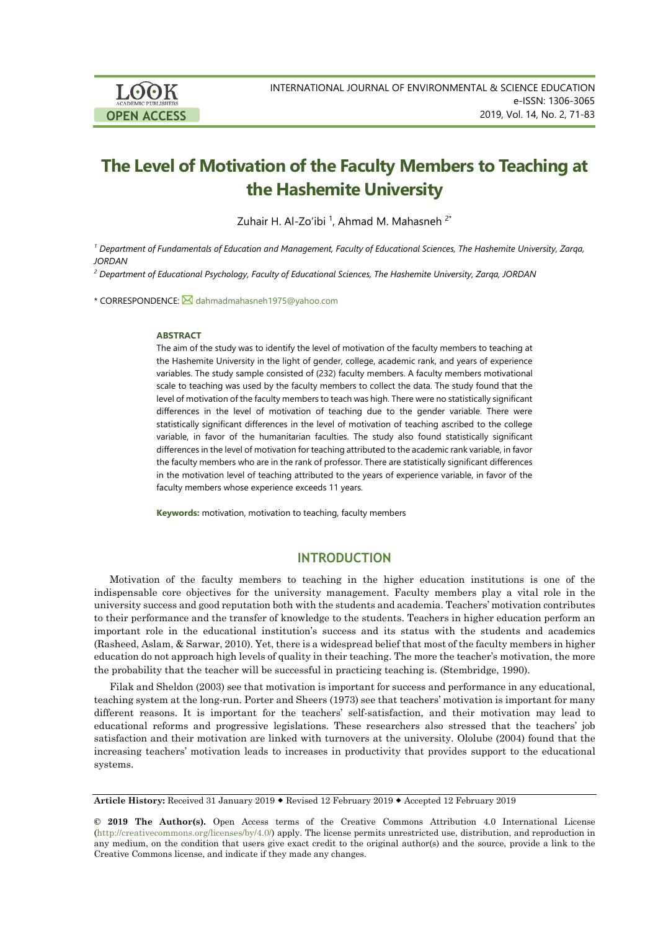

# **The Level of Motivation of the Faculty Members to Teaching at the Hashemite University**

Zuhair H. Al-Zo'ibi <sup>1</sup>, Ahmad M. Mahasneh <sup>2\*</sup>

*<sup>1</sup> Department of Fundamentals of Education and Management, Faculty of Educational Sciences, The Hashemite University, Zarqa, JORDAN*

*<sup>2</sup> Department of Educational Psychology, Faculty of Educational Sciences, The Hashemite University, Zarqa, JORDAN*

\* CORRESPONDENCE: <a> [dahmadmahasneh1975@yahoo.com](mailto:dahmadmahasneh1975@yahoo.com)

#### **ABSTRACT**

The aim of the study was to identify the level of motivation of the faculty members to teaching at the Hashemite University in the light of gender, college, academic rank, and years of experience variables. The study sample consisted of (232) faculty members. A faculty members motivational scale to teaching was used by the faculty members to collect the data. The study found that the level of motivation of the faculty members to teach was high. There were no statistically significant differences in the level of motivation of teaching due to the gender variable. There were statistically significant differences in the level of motivation of teaching ascribed to the college variable, in favor of the humanitarian faculties. The study also found statistically significant differences in the level of motivation for teaching attributed to the academic rank variable, in favor the faculty members who are in the rank of professor. There are statistically significant differences in the motivation level of teaching attributed to the years of experience variable, in favor of the faculty members whose experience exceeds 11 years.

**Keywords:** motivation, motivation to teaching, faculty members

## **INTRODUCTION**

Motivation of the faculty members to teaching in the higher education institutions is one of the indispensable core objectives for the university management. Faculty members play a vital role in the university success and good reputation both with the students and academia. Teachers' motivation contributes to their performance and the transfer of knowledge to the students. Teachers in higher education perform an important role in the educational institution's success and its status with the students and academics (Rasheed, Aslam, & Sarwar, 2010). Yet, there is a widespread belief that most of the faculty members in higher education do not approach high levels of quality in their teaching. The more the teacher's motivation, the more the probability that the teacher will be successful in practicing teaching is. (Stembridge, 1990).

Filak and Sheldon (2003) see that motivation is important for success and performance in any educational, teaching system at the long-run. Porter and Sheers (1973) see that teachers' motivation is important for many different reasons. It is important for the teachers' self-satisfaction, and their motivation may lead to educational reforms and progressive legislations. These researchers also stressed that the teachers' job satisfaction and their motivation are linked with turnovers at the university. Ololube (2004) found that the increasing teachers' motivation leads to increases in productivity that provides support to the educational systems.

**Article History:** Received 31 January 2019 Revised 12 February 2019 Accepted 12 February 2019

**© 2019 The Author(s).** Open Access terms of the Creative Commons Attribution 4.0 International License [\(http://creativecommons.org/licenses/by/4.0/\)](http://creativecommons.org/licenses/by/4.0/) apply. The license permits unrestricted use, distribution, and reproduction in any medium, on the condition that users give exact credit to the original author(s) and the source, provide a link to the Creative Commons license, and indicate if they made any changes.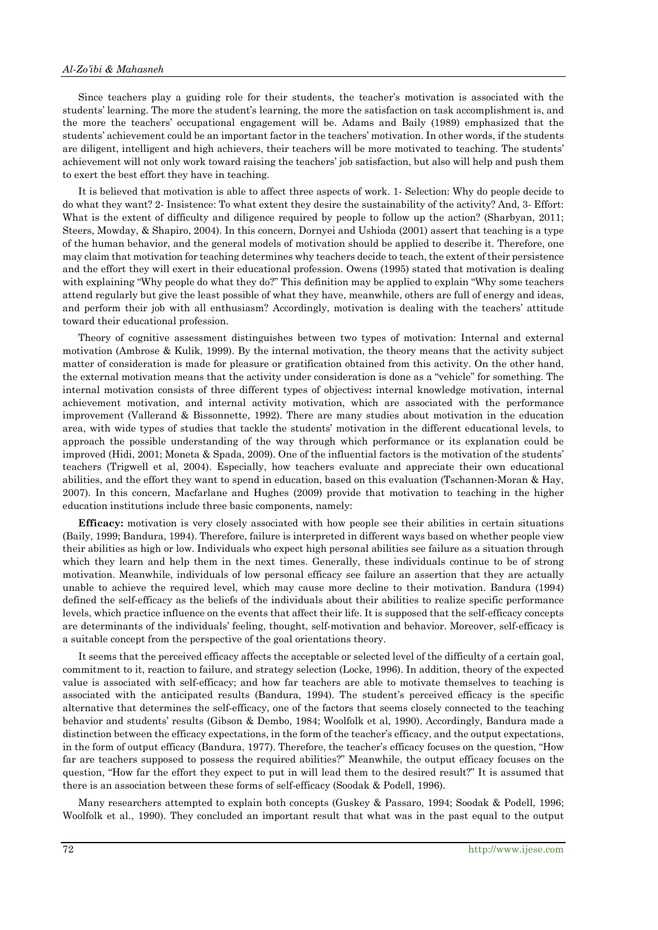#### *Al-Zo'ibi & Mahasneh*

Since teachers play a guiding role for their students, the teacher's motivation is associated with the students' learning. The more the student's learning, the more the satisfaction on task accomplishment is, and the more the teachers' occupational engagement will be. Adams and Baily (1989) emphasized that the students' achievement could be an important factor in the teachers' motivation. In other words, if the students are diligent, intelligent and high achievers, their teachers will be more motivated to teaching. The students' achievement will not only work toward raising the teachers' job satisfaction, but also will help and push them to exert the best effort they have in teaching.

It is believed that motivation is able to affect three aspects of work. 1- Selection: Why do people decide to do what they want? 2- Insistence: To what extent they desire the sustainability of the activity? And, 3- Effort: What is the extent of difficulty and diligence required by people to follow up the action? (Sharbyan, 2011; Steers, Mowday, & Shapiro, 2004). In this concern, Dornyei and Ushioda (2001) assert that teaching is a type of the human behavior, and the general models of motivation should be applied to describe it. Therefore, one may claim that motivation for teaching determines why teachers decide to teach, the extent of their persistence and the effort they will exert in their educational profession. Owens (1995) stated that motivation is dealing with explaining "Why people do what they do?" This definition may be applied to explain "Why some teachers" attend regularly but give the least possible of what they have, meanwhile, others are full of energy and ideas, and perform their job with all enthusiasm? Accordingly, motivation is dealing with the teachers' attitude toward their educational profession.

Theory of cognitive assessment distinguishes between two types of motivation: Internal and external motivation (Ambrose & Kulik, 1999). By the internal motivation, the theory means that the activity subject matter of consideration is made for pleasure or gratification obtained from this activity. On the other hand, the external motivation means that the activity under consideration is done as a "vehicle" for something. The internal motivation consists of three different types of objectives**:** internal knowledge motivation, internal achievement motivation, and internal activity motivation, which are associated with the performance improvement (Vallerand & Bissonnette, 1992). There are many studies about motivation in the education area, with wide types of studies that tackle the students' motivation in the different educational levels, to approach the possible understanding of the way through which performance or its explanation could be improved (Hidi, 2001; Moneta & Spada, 2009). One of the influential factors is the motivation of the students' teachers (Trigwell et al, 2004). Especially, how teachers evaluate and appreciate their own educational abilities, and the effort they want to spend in education, based on this evaluation (Tschannen-Moran & Hay, 2007). In this concern, Macfarlane and Hughes (2009) provide that motivation to teaching in the higher education institutions include three basic components, namely:

**Efficacy:** motivation is very closely associated with how people see their abilities in certain situations (Baily, 1999; Bandura, 1994). Therefore, failure is interpreted in different ways based on whether people view their abilities as high or low. Individuals who expect high personal abilities see failure as a situation through which they learn and help them in the next times. Generally, these individuals continue to be of strong motivation. Meanwhile, individuals of low personal efficacy see failure an assertion that they are actually unable to achieve the required level, which may cause more decline to their motivation. Bandura (1994) defined the self-efficacy as the beliefs of the individuals about their abilities to realize specific performance levels, which practice influence on the events that affect their life. It is supposed that the self-efficacy concepts are determinants of the individuals' feeling, thought, self-motivation and behavior. Moreover, self-efficacy is a suitable concept from the perspective of the goal orientations theory.

It seems that the perceived efficacy affects the acceptable or selected level of the difficulty of a certain goal, commitment to it, reaction to failure, and strategy selection (Locke, 1996). In addition, theory of the expected value is associated with self-efficacy; and how far teachers are able to motivate themselves to teaching is associated with the anticipated results (Bandura, 1994). The student's perceived efficacy is the specific alternative that determines the self-efficacy, one of the factors that seems closely connected to the teaching behavior and students' results (Gibson & Dembo, 1984; Woolfolk et al, 1990). Accordingly, Bandura made a distinction between the efficacy expectations, in the form of the teacher's efficacy, and the output expectations, in the form of output efficacy (Bandura, 1977). Therefore, the teacher's efficacy focuses on the question, "How far are teachers supposed to possess the required abilities?" Meanwhile, the output efficacy focuses on the question, "How far the effort they expect to put in will lead them to the desired result?" It is assumed that there is an association between these forms of self-efficacy (Soodak & Podell, 1996).

Many researchers attempted to explain both concepts (Guskey & Passaro, 1994; Soodak & Podell, 1996; Woolfolk et al., 1990). They concluded an important result that what was in the past equal to the output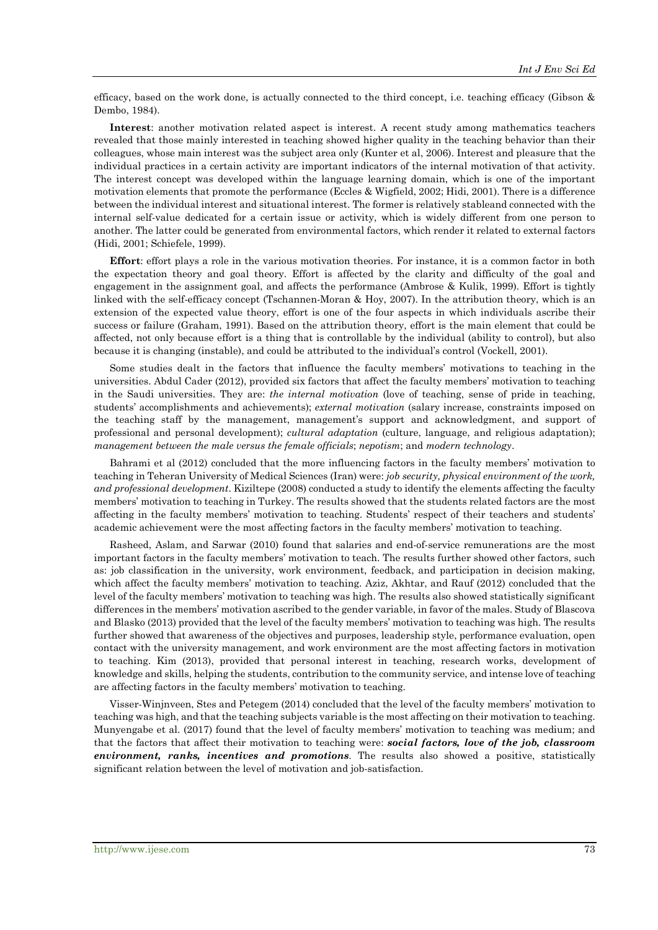efficacy, based on the work done, is actually connected to the third concept, i.e. teaching efficacy (Gibson & Dembo, 1984).

**Interest**: another motivation related aspect is interest. A recent study among mathematics teachers revealed that those mainly interested in teaching showed higher quality in the teaching behavior than their colleagues, whose main interest was the subject area only (Kunter et al, 2006). Interest and pleasure that the individual practices in a certain activity are important indicators of the internal motivation of that activity. The interest concept was developed within the language learning domain, which is one of the important motivation elements that promote the performance (Eccles & Wigfield, 2002; Hidi, 2001). There is a difference between the individual interest and situational interest. The former is relatively stableand connected with the internal self-value dedicated for a certain issue or activity, which is widely different from one person to another. The latter could be generated from environmental factors, which render it related to external factors (Hidi, 2001; Schiefele, 1999).

**Effort:** effort plays a role in the various motivation theories. For instance, it is a common factor in both the expectation theory and goal theory. Effort is affected by the clarity and difficulty of the goal and engagement in the assignment goal, and affects the performance (Ambrose & Kulik, 1999). Effort is tightly linked with the self-efficacy concept (Tschannen-Moran & Hoy, 2007). In the attribution theory, which is an extension of the expected value theory, effort is one of the four aspects in which individuals ascribe their success or failure (Graham, 1991). Based on the attribution theory, effort is the main element that could be affected, not only because effort is a thing that is controllable by the individual (ability to control), but also because it is changing (instable), and could be attributed to the individual's control (Vockell, 2001).

Some studies dealt in the factors that influence the faculty members' motivations to teaching in the universities. Abdul Cader (2012), provided six factors that affect the faculty members' motivation to teaching in the Saudi universities. They are: *the internal motivation* (love of teaching, sense of pride in teaching, students' accomplishments and achievements); *external motivation* (salary increase, constraints imposed on the teaching staff by the management, management's support and acknowledgment, and support of professional and personal development); *cultural adaptation* (culture, language, and religious adaptation); *management between the male versus the female officials*; *nepotism*; and *modern technology*.

Bahrami et al (2012) concluded that the more influencing factors in the faculty members' motivation to teaching in Teheran University of Medical Sciences (Iran) were: *job security, physical environment of the work, and professional development*. Kiziltepe (2008) conducted a study to identify the elements affecting the faculty members' motivation to teaching in Turkey. The results showed that the students related factors are the most affecting in the faculty members' motivation to teaching. Students' respect of their teachers and students' academic achievement were the most affecting factors in the faculty members' motivation to teaching.

Rasheed, Aslam, and Sarwar (2010) found that salaries and end-of-service remunerations are the most important factors in the faculty members' motivation to teach. The results further showed other factors, such as: job classification in the university, work environment, feedback, and participation in decision making, which affect the faculty members' motivation to teaching. Aziz, Akhtar, and Rauf (2012) concluded that the level of the faculty members' motivation to teaching was high. The results also showed statistically significant differences in the members' motivation ascribed to the gender variable, in favor of the males. Study of Blascova and Blasko (2013) provided that the level of the faculty members' motivation to teaching was high. The results further showed that awareness of the objectives and purposes, leadership style, performance evaluation, open contact with the university management, and work environment are the most affecting factors in motivation to teaching. Kim (2013), provided that personal interest in teaching, research works, development of knowledge and skills, helping the students, contribution to the community service, and intense love of teaching are affecting factors in the faculty members' motivation to teaching.

Visser-Winjnveen, Stes and Petegem (2014) concluded that the level of the faculty members' motivation to teaching was high, and that the teaching subjects variable is the most affecting on their motivation to teaching. Munyengabe et al. (2017) found that the level of faculty members' motivation to teaching was medium; and that the factors that affect their motivation to teaching were: *social factors, love of the job, classroom environment, ranks, incentives and promotions*. The results also showed a positive, statistically significant relation between the level of motivation and job-satisfaction.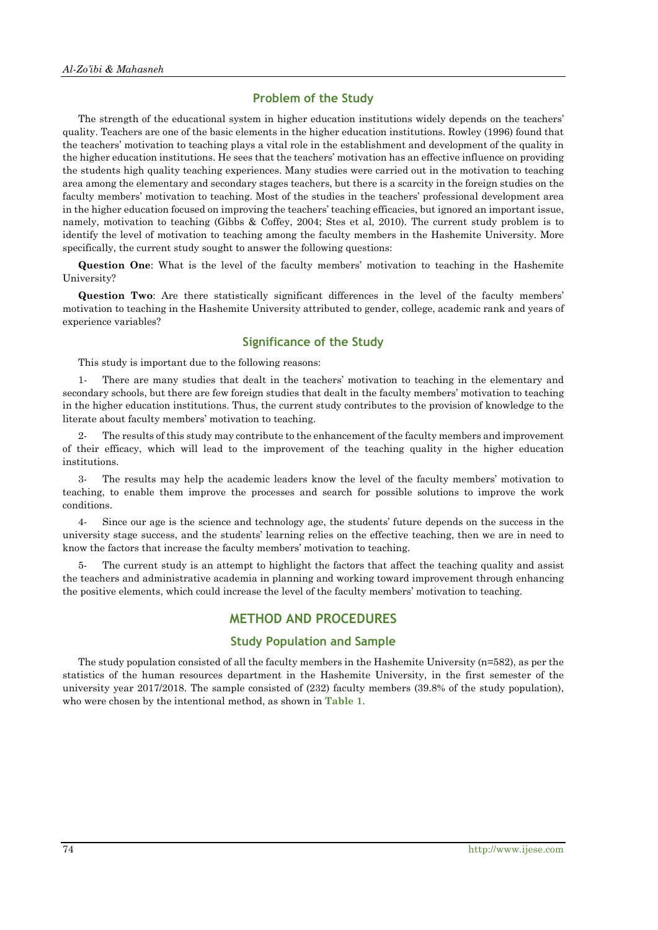#### **Problem of the Study**

The strength of the educational system in higher education institutions widely depends on the teachers' quality. Teachers are one of the basic elements in the higher education institutions. Rowley (1996) found that the teachers' motivation to teaching plays a vital role in the establishment and development of the quality in the higher education institutions. He sees that the teachers' motivation has an effective influence on providing the students high quality teaching experiences. Many studies were carried out in the motivation to teaching area among the elementary and secondary stages teachers, but there is a scarcity in the foreign studies on the faculty members' motivation to teaching. Most of the studies in the teachers' professional development area in the higher education focused on improving the teachers' teaching efficacies, but ignored an important issue, namely, motivation to teaching (Gibbs & Coffey, 2004; Stes et al, 2010). The current study problem is to identify the level of motivation to teaching among the faculty members in the Hashemite University. More specifically, the current study sought to answer the following questions:

**Question One**: What is the level of the faculty members' motivation to teaching in the Hashemite University?

**Question Two**: Are there statistically significant differences in the level of the faculty members' motivation to teaching in the Hashemite University attributed to gender, college, academic rank and years of experience variables?

# **Significance of the Study**

This study is important due to the following reasons:

1- There are many studies that dealt in the teachers' motivation to teaching in the elementary and secondary schools, but there are few foreign studies that dealt in the faculty members' motivation to teaching in the higher education institutions. Thus, the current study contributes to the provision of knowledge to the literate about faculty members' motivation to teaching.

2- The results of this study may contribute to the enhancement of the faculty members and improvement of their efficacy, which will lead to the improvement of the teaching quality in the higher education institutions.

3- The results may help the academic leaders know the level of the faculty members' motivation to teaching, to enable them improve the processes and search for possible solutions to improve the work conditions.

4- Since our age is the science and technology age, the students' future depends on the success in the university stage success, and the students' learning relies on the effective teaching, then we are in need to know the factors that increase the faculty members' motivation to teaching.

5- The current study is an attempt to highlight the factors that affect the teaching quality and assist the teachers and administrative academia in planning and working toward improvement through enhancing the positive elements, which could increase the level of the faculty members' motivation to teaching.

# **METHOD AND PROCEDURES**

#### **Study Population and Sample**

The study population consisted of all the faculty members in the Hashemite University (n=582), as per the statistics of the human resources department in the Hashemite University, in the first semester of the university year 2017/2018. The sample consisted of (232) faculty members (39.8% of the study population), who were chosen by the intentional method, as shown in **Table 1**.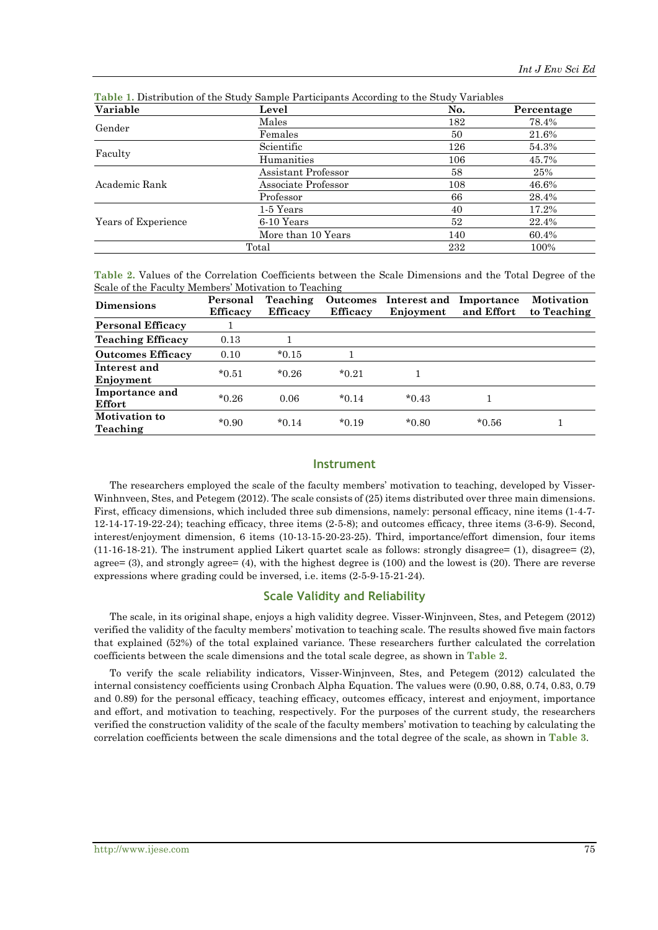| Variable            | Level               | No. | Percentage |
|---------------------|---------------------|-----|------------|
| Gender              | Males               | 182 | 78.4%      |
|                     | Females             | 50  | 21.6%      |
|                     | Scientific          | 126 | 54.3%      |
| Faculty             | Humanities          | 106 | 45.7%      |
|                     | Assistant Professor | 58  | 25%        |
| Academic Rank       | Associate Professor | 108 | 46.6%      |
|                     | Professor           | 66  | 28.4%      |
|                     | 1-5 Years           | 40  | 17.2%      |
| Years of Experience | 6-10 Years          | 52  | 22.4%      |
|                     | More than 10 Years  | 140 | 60.4%      |
|                     | Total               | 232 | 100%       |

**Table 1.** Distribution of the Study Sample Participants According to the Study Variables

**Table 2.** Values of the Correlation Coefficients between the Scale Dimensions and the Total Degree of the Scale of the Faculty Members' Motivation to Teaching

| <b>Dimensions</b>                | Personal<br><b>Efficacy</b> | <b>Teaching</b><br><b>Efficacy</b> | <b>Efficacy</b> | Outcomes Interest and<br>Enjoyment | Importance<br>and Effort | Motivation<br>to Teaching |
|----------------------------------|-----------------------------|------------------------------------|-----------------|------------------------------------|--------------------------|---------------------------|
| <b>Personal Efficacy</b>         |                             |                                    |                 |                                    |                          |                           |
| <b>Teaching Efficacy</b>         | 0.13                        |                                    |                 |                                    |                          |                           |
| <b>Outcomes Efficacy</b>         | 0.10                        | $*0.15$                            |                 |                                    |                          |                           |
| Interest and<br>Enjoyment        | $*0.51$                     | $*0.26$                            | $*0.21$         |                                    |                          |                           |
| Importance and<br>Effort         | $*0.26$                     | 0.06                               | $*0.14$         | $*0.43$                            |                          |                           |
| <b>Motivation to</b><br>Teaching | $*0.90$                     | $*0.14$                            | $*0.19$         | $*0.80$                            | $*0.56$                  |                           |

#### **Instrument**

The researchers employed the scale of the faculty members' motivation to teaching, developed by Visser-Winhnveen, Stes, and Petegem (2012). The scale consists of (25) items distributed over three main dimensions. First, efficacy dimensions, which included three sub dimensions, namely: personal efficacy, nine items (1-4-7- 12-14-17-19-22-24); teaching efficacy, three items (2-5-8); and outcomes efficacy, three items (3-6-9). Second, interest/enjoyment dimension, 6 items (10-13-15-20-23-25). Third, importance/effort dimension, four items (11-16-18-21). The instrument applied Likert quartet scale as follows: strongly disagree= (1), disagree= (2), agree=  $(3)$ , and strongly agree=  $(4)$ , with the highest degree is  $(100)$  and the lowest is  $(20)$ . There are reverse expressions where grading could be inversed, i.e. items (2-5-9-15-21-24).

### **Scale Validity and Reliability**

The scale, in its original shape, enjoys a high validity degree. Visser-Winjnveen, Stes, and Petegem (2012) verified the validity of the faculty members' motivation to teaching scale. The results showed five main factors that explained (52%) of the total explained variance. These researchers further calculated the correlation coefficients between the scale dimensions and the total scale degree, as shown in **Table 2**.

To verify the scale reliability indicators, Visser-Winjnveen, Stes, and Petegem (2012) calculated the internal consistency coefficients using Cronbach Alpha Equation. The values were (0.90, 0.88, 0.74, 0.83, 0.79 and 0.89) for the personal efficacy, teaching efficacy, outcomes efficacy, interest and enjoyment, importance and effort, and motivation to teaching, respectively. For the purposes of the current study, the researchers verified the construction validity of the scale of the faculty members' motivation to teaching by calculating the correlation coefficients between the scale dimensions and the total degree of the scale, as shown in **Table 3**.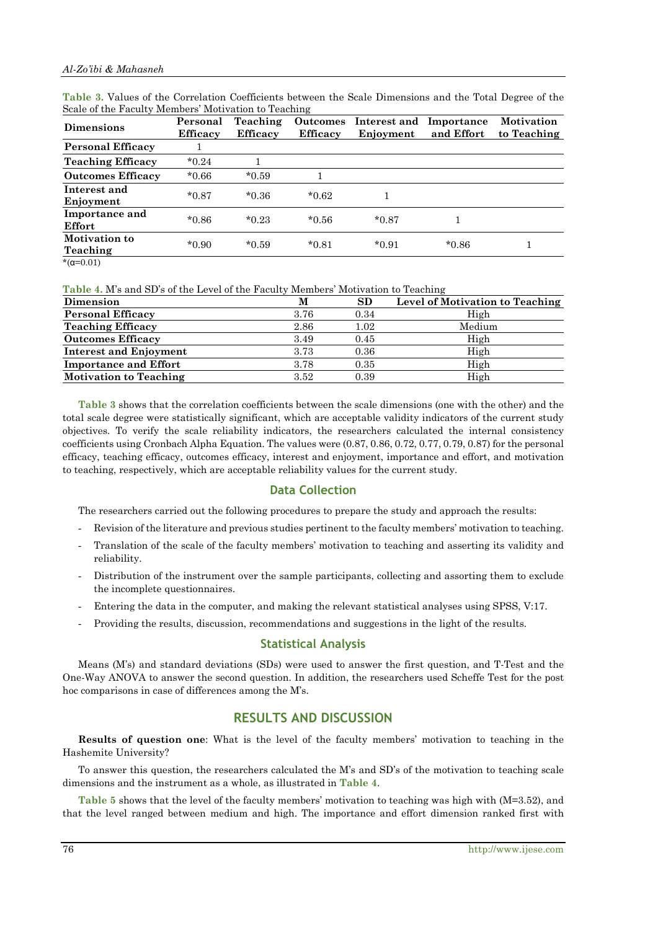| <b>Dimensions</b>                | Personal<br><b>Efficacy</b> | Teaching<br><b>Efficacy</b> | <b>Outcomes</b><br><b>Efficacy</b> | Interest and<br>Enjoyment | Importance<br>and Effort | <b>Motivation</b><br>to Teaching |
|----------------------------------|-----------------------------|-----------------------------|------------------------------------|---------------------------|--------------------------|----------------------------------|
| <b>Personal Efficacy</b>         |                             |                             |                                    |                           |                          |                                  |
| <b>Teaching Efficacy</b>         | $*0.24$                     |                             |                                    |                           |                          |                                  |
| <b>Outcomes Efficacy</b>         | $*0.66$                     | $*0.59$                     |                                    |                           |                          |                                  |
| Interest and<br>Enjoyment        | $*0.87$                     | $*0.36$                     | $*0.62$                            |                           |                          |                                  |
| Importance and<br>Effort         | $*0.86$                     | $*0.23$                     | $*0.56$                            | $*0.87$                   |                          |                                  |
| <b>Motivation to</b><br>Teaching | $*0.90$                     | $*0.59$                     | $*0.81$                            | $*0.91$                   | $*0.86$                  |                                  |
| * $(\alpha=0.01)$                |                             |                             |                                    |                           |                          |                                  |

**Table 3.** Values of the Correlation Coefficients between the Scale Dimensions and the Total Degree of the Scale of the Faculty Members' Motivation to Teaching

**Table 4.** M's and SD's of the Level of the Faculty Members' Motivation to Teaching

| Dimension                     | м    | SD   | <b>Level of Motivation to Teaching</b> |
|-------------------------------|------|------|----------------------------------------|
| <b>Personal Efficacy</b>      | 3.76 | 0.34 | High                                   |
| <b>Teaching Efficacy</b>      | 2.86 | 1.02 | Medium                                 |
| <b>Outcomes Efficacy</b>      | 3.49 | 0.45 | High                                   |
| <b>Interest and Enjoyment</b> | 3.73 | 0.36 | High                                   |
| <b>Importance and Effort</b>  | 3.78 | 0.35 | High                                   |
| <b>Motivation to Teaching</b> | 3.52 | 0.39 | High                                   |
|                               |      |      |                                        |

**Table 3** shows that the correlation coefficients between the scale dimensions (one with the other) and the total scale degree were statistically significant, which are acceptable validity indicators of the current study objectives. To verify the scale reliability indicators, the researchers calculated the internal consistency coefficients using Cronbach Alpha Equation. The values were (0.87, 0.86, 0.72, 0.77, 0.79, 0.87) for the personal efficacy, teaching efficacy, outcomes efficacy, interest and enjoyment, importance and effort, and motivation to teaching, respectively, which are acceptable reliability values for the current study.

## **Data Collection**

The researchers carried out the following procedures to prepare the study and approach the results:

- Revision of the literature and previous studies pertinent to the faculty members' motivation to teaching.
- Translation of the scale of the faculty members' motivation to teaching and asserting its validity and reliability.
- Distribution of the instrument over the sample participants, collecting and assorting them to exclude the incomplete questionnaires.
- Entering the data in the computer, and making the relevant statistical analyses using SPSS, V:17.
- Providing the results, discussion, recommendations and suggestions in the light of the results.

## **Statistical Analysis**

Means (M's) and standard deviations (SDs) were used to answer the first question, and T-Test and the One-Way ANOVA to answer the second question. In addition, the researchers used Scheffe Test for the post hoc comparisons in case of differences among the M's.

# **RESULTS AND DISCUSSION**

**Results of question one**: What is the level of the faculty members' motivation to teaching in the Hashemite University?

To answer this question, the researchers calculated the M's and SD's of the motivation to teaching scale dimensions and the instrument as a whole, as illustrated in **Table 4**.

**Table 5** shows that the level of the faculty members' motivation to teaching was high with (M=3.52), and that the level ranged between medium and high. The importance and effort dimension ranked first with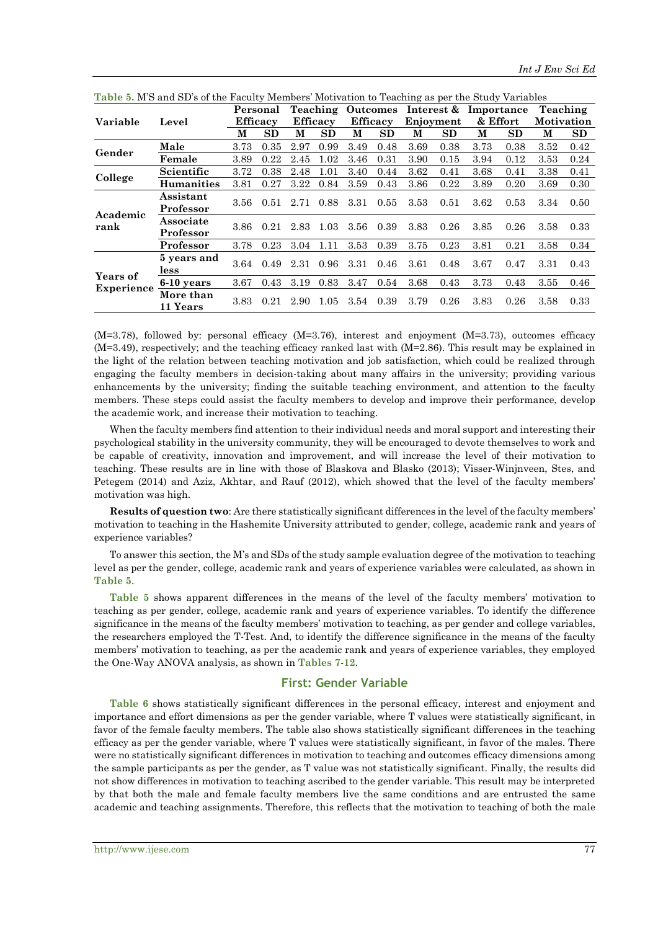|                   |                        |      | Personal        |      |                 | <b>Teaching Outcomes</b> |      |      |           | Interest & Importance |      |                   | Teaching |
|-------------------|------------------------|------|-----------------|------|-----------------|--------------------------|------|------|-----------|-----------------------|------|-------------------|----------|
| Variable          | Level                  |      | <b>Efficacy</b> |      | <b>Efficacy</b> | <b>Efficacy</b>          |      |      | Enjoyment | & Effort              |      | <b>Motivation</b> |          |
|                   |                        | М    | SD              | М    | SD              | М                        | SD   | М    | SD        | М                     | SD   | М                 | SD       |
| Gender            | Male                   | 3.73 | 0.35            | 2.97 | 0.99            | 3.49                     | 0.48 | 3.69 | 0.38      | 3.73                  | 0.38 | 3.52              | 0.42     |
|                   | Female                 | 3.89 | 0.22            | 2.45 | 1.02            | 3.46                     | 0.31 | 3.90 | 0.15      | 3.94                  | 0.12 | 3.53              | 0.24     |
| College           | Scientific             | 3.72 | 0.38            | 2.48 | 1.01            | 3.40                     | 0.44 | 3.62 | 0.41      | 3.68                  | 0.41 | 3.38              | 0.41     |
|                   | <b>Humanities</b>      | 3.81 | 0.27            | 3.22 | 0.84            | 3.59                     | 0.43 | 3.86 | 0.22      | 3.89                  | 0.20 | 3.69              | 0.30     |
| Academic<br>rank  | Assistant<br>Professor | 3.56 | 0.51            |      | 2.71 0.88       | 3.31                     | 0.55 | 3.53 | 0.51      | 3.62                  | 0.53 | 3.34              | 0.50     |
|                   | Associate<br>Professor | 3.86 | 0.21            | 2.83 | 1.03            | 3.56                     | 0.39 | 3.83 | 0.26      | 3.85                  | 0.26 | 3.58              | 0.33     |
|                   | Professor              | 3.78 | 0.23            | 3.04 | 1.11            | 3.53                     | 0.39 | 3.75 | 0.23      | 3.81                  | 0.21 | 3.58              | 0.34     |
|                   | 5 years and<br>less    | 3.64 | 0.49            | 2.31 | 0.96            | 3.31                     | 0.46 | 3.61 | 0.48      | 3.67                  | 0.47 | 3.31              | 0.43     |
| Years of          | 6-10 years             | 3.67 | 0.43            | 3.19 | 0.83            | 3.47                     | 0.54 | 3.68 | 0.43      | 3.73                  | 0.43 | 3.55              | 0.46     |
| <b>Experience</b> | More than<br>11 Years  | 3.83 | 0.21            | 2.90 | 1.05            | 3.54                     | 0.39 | 3.79 | 0.26      | 3.83                  | 0.26 | 3.58              | 0.33     |

| Table 5. M'S and SD's of the Faculty Members' Motivation to Teaching as per the Study Variables |
|-------------------------------------------------------------------------------------------------|
|-------------------------------------------------------------------------------------------------|

 $(M=3.78)$ , followed by: personal efficacy  $(M=3.76)$ , interest and enjoyment  $(M=3.73)$ , outcomes efficacy (M=3.49), respectively; and the teaching efficacy ranked last with (M=2.86). This result may be explained in the light of the relation between teaching motivation and job satisfaction, which could be realized through engaging the faculty members in decision-taking about many affairs in the university; providing various enhancements by the university; finding the suitable teaching environment, and attention to the faculty members. These steps could assist the faculty members to develop and improve their performance, develop the academic work, and increase their motivation to teaching.

When the faculty members find attention to their individual needs and moral support and interesting their psychological stability in the university community, they will be encouraged to devote themselves to work and be capable of creativity, innovation and improvement, and will increase the level of their motivation to teaching. These results are in line with those of Blaskova and Blasko (2013); Visser-Winjnveen, Stes, and Petegem (2014) and Aziz, Akhtar, and Rauf (2012), which showed that the level of the faculty members' motivation was high.

**Results of question two**: Are there statistically significant differences in the level of the faculty members' motivation to teaching in the Hashemite University attributed to gender, college, academic rank and years of experience variables?

To answer this section, the M's and SDs of the study sample evaluation degree of the motivation to teaching level as per the gender, college, academic rank and years of experience variables were calculated, as shown in **Table 5**.

**Table 5** shows apparent differences in the means of the level of the faculty members' motivation to teaching as per gender, college, academic rank and years of experience variables. To identify the difference significance in the means of the faculty members' motivation to teaching, as per gender and college variables, the researchers employed the T-Test. And, to identify the difference significance in the means of the faculty members' motivation to teaching, as per the academic rank and years of experience variables, they employed the One-Way ANOVA analysis, as shown in **Tables 7**-**12**.

#### **First: Gender Variable**

**Table 6** shows statistically significant differences in the personal efficacy, interest and enjoyment and importance and effort dimensions as per the gender variable, where T values were statistically significant, in favor of the female faculty members. The table also shows statistically significant differences in the teaching efficacy as per the gender variable, where T values were statistically significant, in favor of the males. There were no statistically significant differences in motivation to teaching and outcomes efficacy dimensions among the sample participants as per the gender, as T value was not statistically significant. Finally, the results did not show differences in motivation to teaching ascribed to the gender variable. This result may be interpreted by that both the male and female faculty members live the same conditions and are entrusted the same academic and teaching assignments. Therefore, this reflects that the motivation to teaching of both the male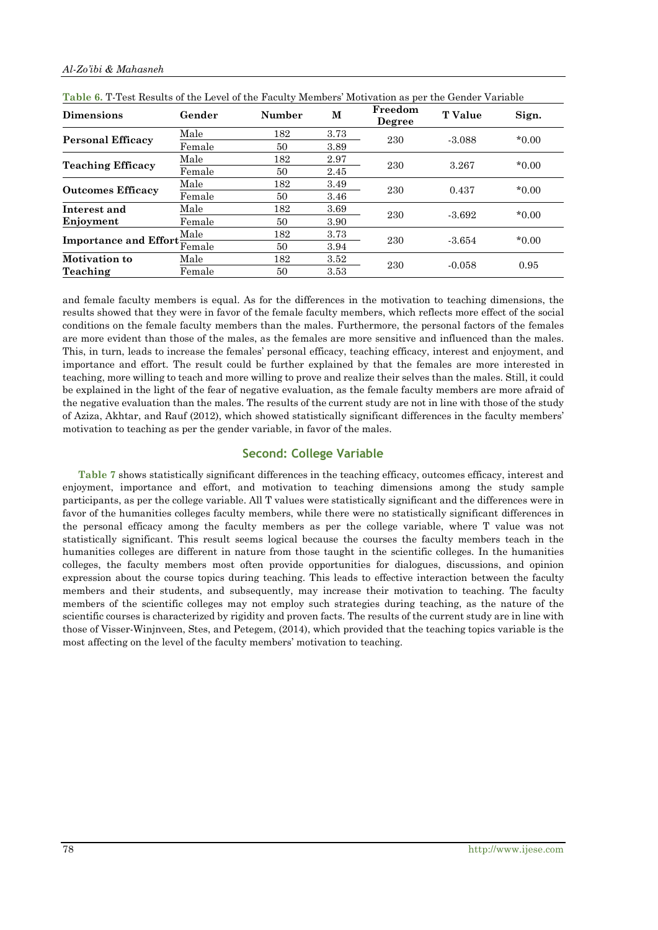|  | Al-Zo'ibi & Mahasneh |
|--|----------------------|
|  |                      |

| <b>Dimensions</b>            | Gender | <b>Number</b> | M    | Freedom<br>Degree | <b>T</b> Value | Sign.    |  |
|------------------------------|--------|---------------|------|-------------------|----------------|----------|--|
| <b>Personal Efficacy</b>     | Male   | 182           | 3.73 | 230               | $-3.088$       | $*0.00$  |  |
|                              | Female | 50            | 3.89 |                   |                |          |  |
| <b>Teaching Efficacy</b>     | Male   | 182           | 2.97 | 230               | 3.267          | $*0.00$  |  |
|                              | Female | 50            | 2.45 |                   |                |          |  |
| <b>Outcomes Efficacy</b>     | Male   | 182           | 3.49 | 230               | 0.437          | $*0.00$  |  |
|                              | Female | 50            | 3.46 |                   |                |          |  |
| Interest and                 | Male   | 182           | 3.69 |                   |                |          |  |
| Enjoyment                    | Female | 50            | 3.90 | 230               | $-3.692$       | $*0.00$  |  |
| Importance and Effort Female | Male   | 182           | 3.73 |                   |                |          |  |
|                              |        | 50            | 3.94 | 230               | $-3.654$       | $*0.00*$ |  |
| Motivation to                | Male   | 182           | 3.52 |                   |                |          |  |
| Teaching                     | Female | 50            | 3.53 | 230               | $-0.058$       | 0.95     |  |

|--|

and female faculty members is equal. As for the differences in the motivation to teaching dimensions, the results showed that they were in favor of the female faculty members, which reflects more effect of the social conditions on the female faculty members than the males. Furthermore, the personal factors of the females are more evident than those of the males, as the females are more sensitive and influenced than the males. This, in turn, leads to increase the females' personal efficacy, teaching efficacy, interest and enjoyment, and importance and effort. The result could be further explained by that the females are more interested in teaching, more willing to teach and more willing to prove and realize their selves than the males. Still, it could be explained in the light of the fear of negative evaluation, as the female faculty members are more afraid of the negative evaluation than the males. The results of the current study are not in line with those of the study of Aziza, Akhtar, and Rauf (2012), which showed statistically significant differences in the faculty members' motivation to teaching as per the gender variable, in favor of the males.

# **Second: College Variable**

**Table 7** shows statistically significant differences in the teaching efficacy, outcomes efficacy, interest and enjoyment, importance and effort, and motivation to teaching dimensions among the study sample participants, as per the college variable. All T values were statistically significant and the differences were in favor of the humanities colleges faculty members, while there were no statistically significant differences in the personal efficacy among the faculty members as per the college variable, where T value was not statistically significant. This result seems logical because the courses the faculty members teach in the humanities colleges are different in nature from those taught in the scientific colleges. In the humanities colleges, the faculty members most often provide opportunities for dialogues, discussions, and opinion expression about the course topics during teaching. This leads to effective interaction between the faculty members and their students, and subsequently, may increase their motivation to teaching. The faculty members of the scientific colleges may not employ such strategies during teaching, as the nature of the scientific courses is characterized by rigidity and proven facts. The results of the current study are in line with those of Visser-Winjnveen, Stes, and Petegem, (2014), which provided that the teaching topics variable is the most affecting on the level of the faculty members' motivation to teaching.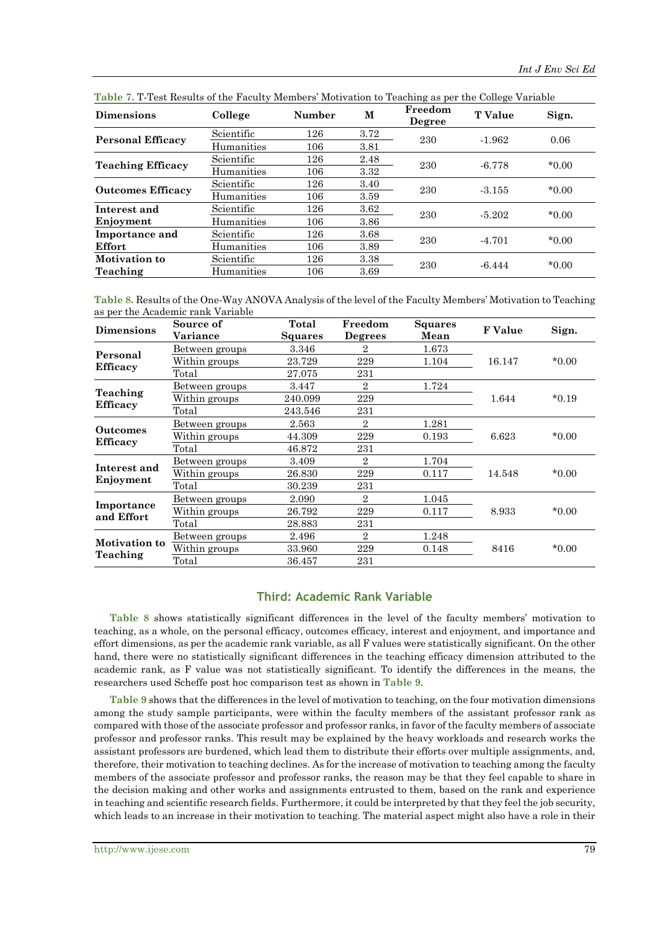| <b>Dimensions</b>        | College    | Number | M    | Freedom<br>Degree | <b>T</b> Value | Sign.   |  |
|--------------------------|------------|--------|------|-------------------|----------------|---------|--|
| <b>Personal Efficacy</b> | Scientific | 126    | 3.72 | 230               | $-1.962$       | 0.06    |  |
|                          | Humanities | 106    | 3.81 |                   |                |         |  |
|                          | Scientific | 126    | 2.48 | 230               | $-6.778$       | $*0.00$ |  |
| <b>Teaching Efficacy</b> | Humanities | 106    | 3.32 |                   |                |         |  |
| <b>Outcomes Efficacy</b> | Scientific | 126    | 3.40 | 230               | $-3.155$       | $*0.00$ |  |
|                          | Humanities | 106    | 3.59 |                   |                |         |  |
| Interest and             | Scientific | 126    | 3.62 | 230               | $-5.202$       | $*0.00$ |  |
| Enjoyment                | Humanities | 106    | 3.86 |                   |                |         |  |
| Importance and           | Scientific | 126    | 3.68 | 230               | $-4.701$       | $*0.00$ |  |
| Effort                   | Humanities | 106    | 3.89 |                   |                |         |  |
| Motivation to            | Scientific | 126    | 3.38 | 230               |                | $*0.00$ |  |
| Teaching                 | Humanities | 106    | 3.69 |                   | $-6.444$       |         |  |

**Table 7.** T-Test Results of the Faculty Members' Motivation to Teaching as per the College Variable

**Table 8.** Results of the One-Way ANOVA Analysis of the level of the Faculty Members' Motivation to Teaching as per the Academic rank Variable

| <b>Dimensions</b>           | Source of<br>Variance  | Total<br>Squares | Freedom<br><b>Degrees</b> | Squares<br>Mean | <b>F</b> Value | Sign.    |
|-----------------------------|------------------------|------------------|---------------------------|-----------------|----------------|----------|
| Personal                    | Between groups         | 3.346            | 2                         | 1.673           |                |          |
| <b>Efficacy</b>             | Within groups          | 23.729           | 229                       | 1.104           | 16.147         | $*0.00*$ |
|                             | Total                  | 27.075           | 231                       |                 |                |          |
|                             | Between groups         | 3.447            | $\overline{2}$            | 1.724           |                |          |
| Teaching                    | Within groups          | 240.099          | 229                       |                 | 1.644          | $*0.19$  |
| <b>Efficacy</b>             | Total                  | 243.546          | 231                       |                 |                |          |
| Outcomes<br><b>Efficacy</b> | Between groups         | 2.563            | 2                         | 1.281           |                |          |
|                             | Within groups          | 44.309           | 229                       | 0.193           | 6.623          | $*0.00*$ |
|                             | Total                  | 46.872           | 231                       |                 |                |          |
| Interest and                | Between groups         | 3.409            | $\overline{2}$            | 1.704           |                |          |
|                             | Within groups          | 26.830           | 229                       | 0.117           | 14.548         | $*0.00*$ |
| Enjoyment                   | Total                  | 30.239           | 231                       |                 |                |          |
|                             | Between groups         | 2.090            | $\overline{2}$            | 1.045           |                |          |
| Importance<br>and Effort    | Within groups          | 26.792           | 229                       | 0.117           | 8.933          | $*0.00*$ |
|                             | Total<br>28.883<br>231 |                  |                           |                 |                |          |
| <b>Motivation to</b>        | Between groups         | 2.496            | $\overline{2}$            | 1.248           |                |          |
| Teaching                    | Within groups          | 33.960           | 229                       | 0.148           | 8416           | $*0.00*$ |
|                             | Total                  | 36.457           | 231                       |                 |                |          |

# **Third: Academic Rank Variable**

**Table 8** shows statistically significant differences in the level of the faculty members' motivation to teaching, as a whole, on the personal efficacy, outcomes efficacy, interest and enjoyment, and importance and effort dimensions, as per the academic rank variable, as all F values were statistically significant. On the other hand, there were no statistically significant differences in the teaching efficacy dimension attributed to the academic rank, as F value was not statistically significant. To identify the differences in the means, the researchers used Scheffe post hoc comparison test as shown in **Table 9**.

**Table 9** shows that the differences in the level of motivation to teaching, on the four motivation dimensions among the study sample participants, were within the faculty members of the assistant professor rank as compared with those of the associate professor and professor ranks, in favor of the faculty members of associate professor and professor ranks. This result may be explained by the heavy workloads and research works the assistant professors are burdened, which lead them to distribute their efforts over multiple assignments, and, therefore, their motivation to teaching declines. As for the increase of motivation to teaching among the faculty members of the associate professor and professor ranks, the reason may be that they feel capable to share in the decision making and other works and assignments entrusted to them, based on the rank and experience in teaching and scientific research fields. Furthermore, it could be interpreted by that they feel the job security, which leads to an increase in their motivation to teaching. The material aspect might also have a role in their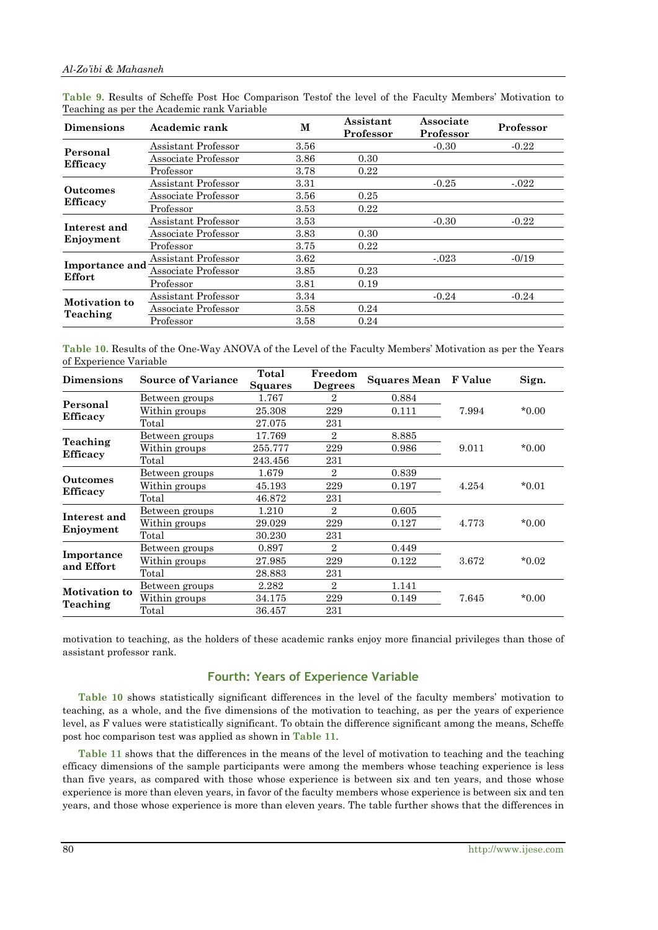| <b>Dimensions</b>         | Academic rank       | M    | Assistant<br>Professor | Associate<br>Professor | Professor |
|---------------------------|---------------------|------|------------------------|------------------------|-----------|
|                           | Assistant Professor | 3.56 |                        | $-0.30$                | $-0.22$   |
| Personal                  | Associate Professor | 3.86 | 0.30                   |                        |           |
| <b>Efficacy</b>           | Professor           | 3.78 | 0.22                   |                        |           |
|                           | Assistant Professor | 3.31 |                        | $-0.25$                | $-0.022$  |
| <b>Outcomes</b>           | Associate Professor | 3.56 | 0.25                   |                        |           |
| <b>Efficacy</b>           | Professor           | 3.53 | 0.22                   |                        |           |
| Interest and<br>Enjoyment | Assistant Professor | 3.53 |                        | $-0.30$                | $-0.22$   |
|                           | Associate Professor | 3.83 | 0.30                   |                        |           |
|                           | Professor           | 3.75 | 0.22                   |                        |           |
|                           | Assistant Professor | 3.62 |                        | $-0.023$               | $-0/19$   |
| Importance and<br>Effort  | Associate Professor | 3.85 | 0.23                   |                        |           |
|                           | Professor           | 3.81 | 0.19                   |                        |           |
|                           | Assistant Professor | 3.34 |                        | $-0.24$                | $-0.24$   |
| Motivation to             | Associate Professor | 3.58 | 0.24                   |                        |           |
| Teaching                  | Professor           | 3.58 | 0.24                   |                        |           |

**Table 9.** Results of Scheffe Post Hoc Comparison Testof the level of the Faculty Members' Motivation to Teaching as per the Academic rank Variable

**Table 10.** Results of the One-Way ANOVA of the Level of the Faculty Members' Motivation as per the Years of Experience Variable

| 1.767<br>0.884<br>2<br>Between groups<br>$*0.00*$<br>25.308<br>229<br>7.994<br>Within groups<br>0.111<br><b>Efficacy</b><br>Total<br>27.075<br>231<br>17.769<br>$\mathbf{2}$<br>8.885<br>Between groups<br>Teaching<br>$*0.00$<br>255.777<br>229<br>0.986<br>9.011<br>Within groups<br>Total<br>243.456<br>231<br>1.679<br>$\overline{2}$<br>0.839<br>Between groups<br>$*0.01$<br>229<br>4.254<br>Within groups<br>45.193<br>0.197<br><b>Efficacy</b><br>Total<br>46.872<br>231<br>$\overline{2}$<br>1.210<br>0.605<br>Between groups<br>$*0.00$<br>29.029<br>229<br>0.127<br>4.773<br>Within groups<br>Total<br>30.230<br>231<br>0.449<br>0.897<br>$\overline{2}$<br>Between groups<br>3.672<br>$*0.02$<br>Within groups<br>27.985<br>229<br>0.122<br>and Effort<br>Total<br>28.883<br>231<br>$\mathbf{2}$<br>1.141<br>$2.282\,$<br>Between groups<br><b>Motivation to</b><br>7.645<br>$*0.00$<br>Within groups<br>34.175<br>229<br>0.149<br>Teaching<br>Total<br>231<br>36.457 | <b>Dimensions</b>         | <b>Source of Variance</b> | Total<br><b>Squares</b> | Freedom<br><b>Degrees</b> | Squares Mean F Value |  | Sign. |
|-----------------------------------------------------------------------------------------------------------------------------------------------------------------------------------------------------------------------------------------------------------------------------------------------------------------------------------------------------------------------------------------------------------------------------------------------------------------------------------------------------------------------------------------------------------------------------------------------------------------------------------------------------------------------------------------------------------------------------------------------------------------------------------------------------------------------------------------------------------------------------------------------------------------------------------------------------------------------------------|---------------------------|---------------------------|-------------------------|---------------------------|----------------------|--|-------|
|                                                                                                                                                                                                                                                                                                                                                                                                                                                                                                                                                                                                                                                                                                                                                                                                                                                                                                                                                                                   | Personal                  |                           |                         |                           |                      |  |       |
|                                                                                                                                                                                                                                                                                                                                                                                                                                                                                                                                                                                                                                                                                                                                                                                                                                                                                                                                                                                   |                           |                           |                         |                           |                      |  |       |
|                                                                                                                                                                                                                                                                                                                                                                                                                                                                                                                                                                                                                                                                                                                                                                                                                                                                                                                                                                                   |                           |                           |                         |                           |                      |  |       |
|                                                                                                                                                                                                                                                                                                                                                                                                                                                                                                                                                                                                                                                                                                                                                                                                                                                                                                                                                                                   | <b>Efficacy</b>           |                           |                         |                           |                      |  |       |
|                                                                                                                                                                                                                                                                                                                                                                                                                                                                                                                                                                                                                                                                                                                                                                                                                                                                                                                                                                                   |                           |                           |                         |                           |                      |  |       |
|                                                                                                                                                                                                                                                                                                                                                                                                                                                                                                                                                                                                                                                                                                                                                                                                                                                                                                                                                                                   |                           |                           |                         |                           |                      |  |       |
|                                                                                                                                                                                                                                                                                                                                                                                                                                                                                                                                                                                                                                                                                                                                                                                                                                                                                                                                                                                   | <b>Outcomes</b>           |                           |                         |                           |                      |  |       |
|                                                                                                                                                                                                                                                                                                                                                                                                                                                                                                                                                                                                                                                                                                                                                                                                                                                                                                                                                                                   |                           |                           |                         |                           |                      |  |       |
|                                                                                                                                                                                                                                                                                                                                                                                                                                                                                                                                                                                                                                                                                                                                                                                                                                                                                                                                                                                   |                           |                           |                         |                           |                      |  |       |
|                                                                                                                                                                                                                                                                                                                                                                                                                                                                                                                                                                                                                                                                                                                                                                                                                                                                                                                                                                                   | Interest and<br>Enjoyment |                           |                         |                           |                      |  |       |
|                                                                                                                                                                                                                                                                                                                                                                                                                                                                                                                                                                                                                                                                                                                                                                                                                                                                                                                                                                                   |                           |                           |                         |                           |                      |  |       |
|                                                                                                                                                                                                                                                                                                                                                                                                                                                                                                                                                                                                                                                                                                                                                                                                                                                                                                                                                                                   |                           |                           |                         |                           |                      |  |       |
|                                                                                                                                                                                                                                                                                                                                                                                                                                                                                                                                                                                                                                                                                                                                                                                                                                                                                                                                                                                   | Importance                |                           |                         |                           |                      |  |       |
|                                                                                                                                                                                                                                                                                                                                                                                                                                                                                                                                                                                                                                                                                                                                                                                                                                                                                                                                                                                   |                           |                           |                         |                           |                      |  |       |
|                                                                                                                                                                                                                                                                                                                                                                                                                                                                                                                                                                                                                                                                                                                                                                                                                                                                                                                                                                                   |                           |                           |                         |                           |                      |  |       |
|                                                                                                                                                                                                                                                                                                                                                                                                                                                                                                                                                                                                                                                                                                                                                                                                                                                                                                                                                                                   |                           |                           |                         |                           |                      |  |       |
|                                                                                                                                                                                                                                                                                                                                                                                                                                                                                                                                                                                                                                                                                                                                                                                                                                                                                                                                                                                   |                           |                           |                         |                           |                      |  |       |
|                                                                                                                                                                                                                                                                                                                                                                                                                                                                                                                                                                                                                                                                                                                                                                                                                                                                                                                                                                                   |                           |                           |                         |                           |                      |  |       |

motivation to teaching, as the holders of these academic ranks enjoy more financial privileges than those of assistant professor rank.

# **Fourth: Years of Experience Variable**

**Table 10** shows statistically significant differences in the level of the faculty members' motivation to teaching, as a whole, and the five dimensions of the motivation to teaching, as per the years of experience level, as F values were statistically significant. To obtain the difference significant among the means, Scheffe post hoc comparison test was applied as shown in **Table 11**.

**Table 11** shows that the differences in the means of the level of motivation to teaching and the teaching efficacy dimensions of the sample participants were among the members whose teaching experience is less than five years, as compared with those whose experience is between six and ten years, and those whose experience is more than eleven years, in favor of the faculty members whose experience is between six and ten years, and those whose experience is more than eleven years. The table further shows that the differences in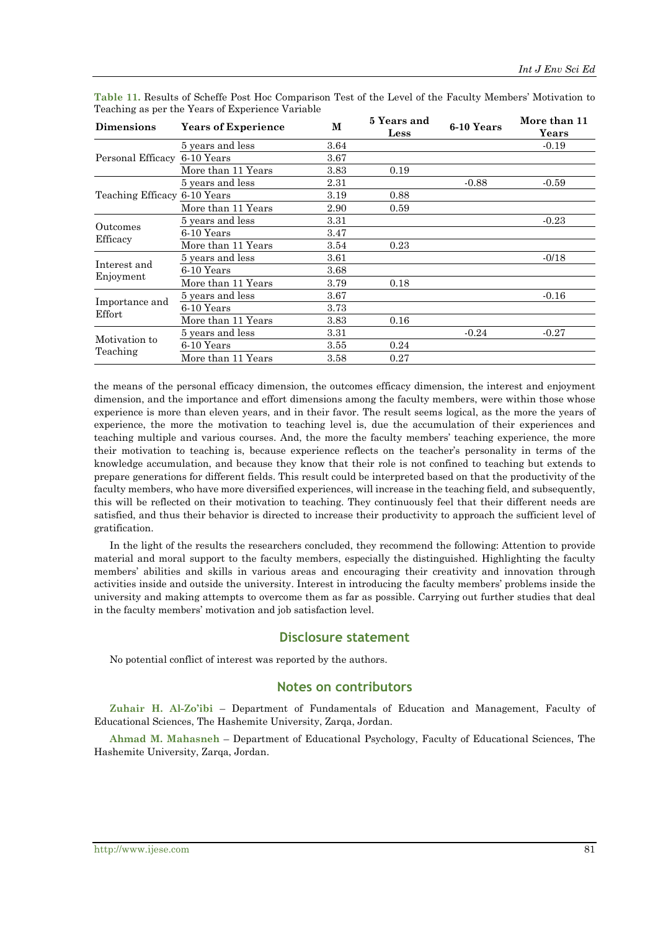| <b>Dimensions</b>            | <b>Years of Experience</b> | M    | 5 Years and<br>Less | 6-10 Years | More than 11<br>Years |
|------------------------------|----------------------------|------|---------------------|------------|-----------------------|
| Personal Efficacy            | 5 years and less           | 3.64 |                     |            | $-0.19$               |
|                              | 6-10 Years                 | 3.67 |                     |            |                       |
|                              | More than 11 Years         | 3.83 | 0.19                |            |                       |
| Teaching Efficacy 6-10 Years | 5 years and less           | 2.31 |                     | $-0.88$    | $-0.59$               |
|                              |                            | 3.19 | 0.88                |            |                       |
|                              | More than 11 Years         | 2.90 | 0.59                |            |                       |
| Outcomes<br>Efficacy         | 5 years and less           | 3.31 |                     |            | $-0.23$               |
|                              | 6-10 Years                 | 3.47 |                     |            |                       |
|                              | More than 11 Years         | 3.54 | 0.23                |            |                       |
| Interest and<br>Enjoyment    | 5 years and less           | 3.61 |                     |            | $-0/18$               |
|                              | 6-10 Years                 | 3.68 |                     |            |                       |
|                              | More than 11 Years         | 3.79 | 0.18                |            |                       |
| Importance and<br>Effort     | 5 years and less           | 3.67 |                     |            | $-0.16$               |
|                              | 6-10 Years                 | 3.73 |                     |            |                       |
|                              | More than 11 Years         | 3.83 | 0.16                |            |                       |
| Motivation to<br>Teaching    | 5 years and less           | 3.31 |                     | $-0.24$    | $-0.27$               |
|                              | 6-10 Years                 | 3.55 | 0.24                |            |                       |
|                              | More than 11 Years         | 3.58 | 0.27                |            |                       |

**Table 11.** Results of Scheffe Post Hoc Comparison Test of the Level of the Faculty Members' Motivation to Teaching as per the Years of Experience Variable

the means of the personal efficacy dimension, the outcomes efficacy dimension, the interest and enjoyment dimension, and the importance and effort dimensions among the faculty members, were within those whose experience is more than eleven years, and in their favor. The result seems logical, as the more the years of experience, the more the motivation to teaching level is, due the accumulation of their experiences and teaching multiple and various courses. And, the more the faculty members' teaching experience, the more their motivation to teaching is, because experience reflects on the teacher's personality in terms of the knowledge accumulation, and because they know that their role is not confined to teaching but extends to prepare generations for different fields. This result could be interpreted based on that the productivity of the faculty members, who have more diversified experiences, will increase in the teaching field, and subsequently, this will be reflected on their motivation to teaching. They continuously feel that their different needs are satisfied, and thus their behavior is directed to increase their productivity to approach the sufficient level of gratification.

In the light of the results the researchers concluded, they recommend the following: Attention to provide material and moral support to the faculty members, especially the distinguished. Highlighting the faculty members' abilities and skills in various areas and encouraging their creativity and innovation through activities inside and outside the university. Interest in introducing the faculty members' problems inside the university and making attempts to overcome them as far as possible. Carrying out further studies that deal in the faculty members' motivation and job satisfaction level.

### **Disclosure statement**

No potential conflict of interest was reported by the authors.

#### **Notes on contributors**

**Zuhair H. Al-Zo'ibi** – Department of Fundamentals of Education and Management, Faculty of Educational Sciences, The Hashemite University, Zarqa, Jordan.

**Ahmad M. Mahasneh** – Department of Educational Psychology, Faculty of Educational Sciences, The Hashemite University, Zarqa, Jordan.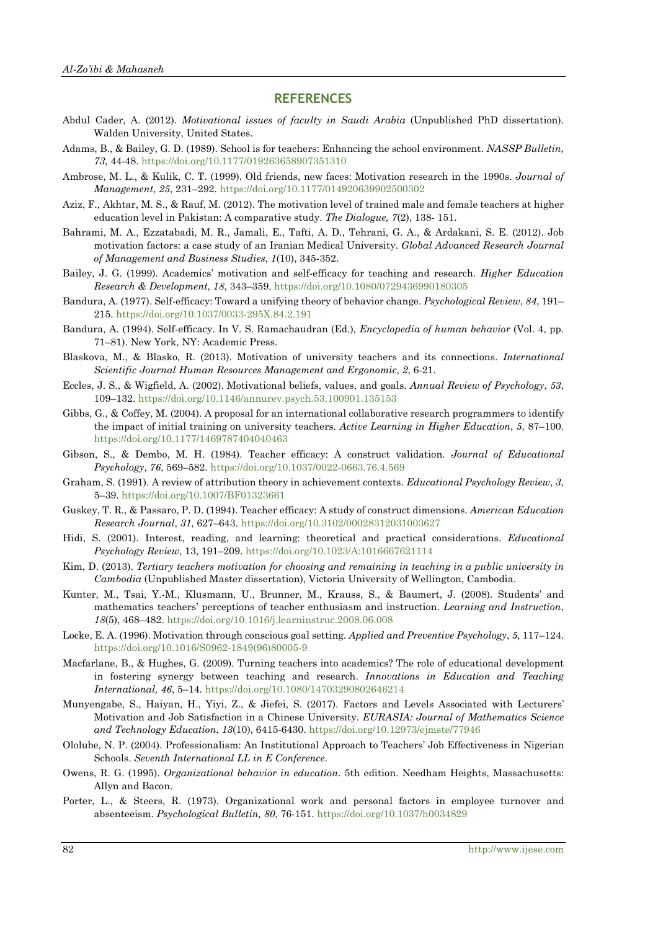#### **REFERENCES**

- Abdul Cader, A. (2012). *Motivational issues of faculty in Saudi Arabia* (Unpublished PhD dissertation)*.*  Walden University, United States.
- Adams, B., & Bailey, G. D. (1989). School is for teachers: Enhancing the school environment. *NASSP Bulletin, 73*, 44-48. <https://doi.org/10.1177/019263658907351310>
- Ambrose, M. L., & Kulik, C. T. (1999). Old friends, new faces: Motivation research in the 1990s. *Journal of Management*, *25*, 231–292. <https://doi.org/10.1177/014920639902500302>
- Aziz, F., Akhtar, M. S., & Rauf, M. (2012). The motivation level of trained male and female teachers at higher education level in Pakistan: A comparative study. *The Dialogue, 7*(2), 138- 151.
- Bahrami, M. A., Ezzatabadi, M. R., Jamali, E., Tafti, A. D., Tehrani, G. A., & Ardakani, S. E. (2012). Job motivation factors: a case study of an Iranian Medical University. *Global Advanced Research Journal of Management and Business Studies*, *1*(10), 345-352.
- Bailey, J. G. (1999). Academics' motivation and self-efficacy for teaching and research. *Higher Education Research & Development*, *18*, 343–359. <https://doi.org/10.1080/0729436990180305>
- Bandura, A. (1977). Self-efficacy: Toward a unifying theory of behavior change. *Psychological Review*, *84*, 191– 215. <https://doi.org/10.1037/0033-295X.84.2.191>
- Bandura, A. (1994). Self-efficacy. In V. S. Ramachaudran (Ed.), *Encyclopedia of human behavior* (Vol. 4, pp. 71–81). New York, NY: Academic Press.
- Blaskova, M., & Blasko, R. (2013). Motivation of university teachers and its connections. *International Scientific Journal Human Resources Management and Ergonomic*, *2*, 6-21.
- Eccles, J. S., & Wigfield, A. (2002). Motivational beliefs, values, and goals. *Annual Review of Psychology*, *53*, 109–132. <https://doi.org/10.1146/annurev.psych.53.100901.135153>
- Gibbs, G., & Coffey, M. (2004). A proposal for an international collaborative research programmers to identify the impact of initial training on university teachers. *Active Learning in Higher Education*, *5*, 87–100. <https://doi.org/10.1177/1469787404040463>
- Gibson, S., & Dembo, M. H. (1984). Teacher efficacy: A construct validation. *Journal of Educational Psychology*, *76*, 569–582. <https://doi.org/10.1037/0022-0663.76.4.569>
- Graham, S. (1991). A review of attribution theory in achievement contexts. *Educational Psychology Review*, *3*, 5–39. <https://doi.org/10.1007/BF01323661>
- Guskey, T. R., & Passaro, P. D. (1994). Teacher efficacy: A study of construct dimensions. *American Education Research Journal*, *31*, 627–643. <https://doi.org/10.3102/00028312031003627>
- Hidi, S. (2001). Interest, reading, and learning: theoretical and practical considerations. *Educational Psychology Review*, 13, 191–209. <https://doi.org/10.1023/A:1016667621114>
- Kim, D. (2013). *Tertiary teachers motivation for choosing and remaining in teaching in a public university in Cambodia* (Unpublished Master dissertation), Victoria University of Wellington, Cambodia.
- Kunter, M., Tsai, Y.-M., Klusmann, U., Brunner, M., Krauss, S., & Baumert, J. (2008). Students' and mathematics teachers' perceptions of teacher enthusiasm and instruction. *Learning and Instruction*, *18*(5), 468–482. <https://doi.org/10.1016/j.learninstruc.2008.06.008>
- Locke, E. A. (1996). Motivation through conscious goal setting. *Applied and Preventive Psychology*, *5*, 117–124. [https://doi.org/10.1016/S0962-1849\(96\)80005-9](https://doi.org/10.1016/S0962-1849(96)80005-9)
- Macfarlane, B., & Hughes, G. (2009). Turning teachers into academics? The role of educational development in fostering synergy between teaching and research. *Innovations in Education and Teaching International, 46*, 5–14. <https://doi.org/10.1080/14703290802646214>
- Munyengabe, S., Haiyan, H., Yiyi, Z., & Jiefei, S. (2017). Factors and Levels Associated with Lecturers' Motivation and Job Satisfaction in a Chinese University. *EURASIA: Journal of Mathematics Science and Technology Education*, *13*(10), 6415-6430. <https://doi.org/10.12973/ejmste/77946>
- Ololube, N. P. (2004). Professionalism: An Institutional Approach to Teachers' Job Effectiveness in Nigerian Schools. *Seventh International LL in E Conference*.
- Owens, R. G. (1995). *Organizational behavior in education*. 5th edition. Needham Heights, Massachusetts: Allyn and Bacon.
- Porter, L., & Steers, R. (1973). Organizational work and personal factors in employee turnover and absenteeism. *Psychological Bulletin, 80*, 76-151. <https://doi.org/10.1037/h0034829>